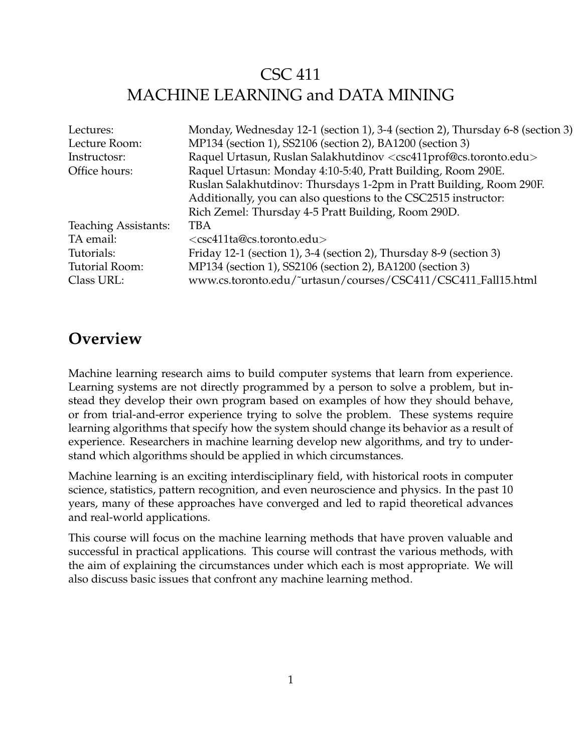## CSC 411 MACHINE LEARNING and DATA MINING

| Lectures:                   | Monday, Wednesday 12-1 (section 1), 3-4 (section 2), Thursday 6-8 (section 3)                |  |
|-----------------------------|----------------------------------------------------------------------------------------------|--|
| Lecture Room:               | MP134 (section 1), SS2106 (section 2), BA1200 (section 3)                                    |  |
| Instructosr:                | Raquel Urtasun, Ruslan Salakhutdinov <csc411prof@cs.toronto.edu></csc411prof@cs.toronto.edu> |  |
| Office hours:               | Raquel Urtasun: Monday 4:10-5:40, Pratt Building, Room 290E.                                 |  |
|                             | Ruslan Salakhutdinov: Thursdays 1-2pm in Pratt Building, Room 290F.                          |  |
|                             | Additionally, you can also questions to the CSC2515 instructor:                              |  |
|                             | Rich Zemel: Thursday 4-5 Pratt Building, Room 290D.                                          |  |
| <b>Teaching Assistants:</b> | <b>TBA</b>                                                                                   |  |
| TA email:                   | <csc411ta@cs.toronto.edu></csc411ta@cs.toronto.edu>                                          |  |
| Tutorials:                  | Friday 12-1 (section 1), 3-4 (section 2), Thursday 8-9 (section 3)                           |  |
| Tutorial Room:              | MP134 (section 1), SS2106 (section 2), BA1200 (section 3)                                    |  |
| Class URL:                  | www.cs.toronto.edu/~urtasun/courses/CSC411/CSC411_Fall15.html                                |  |

### **Overview**

Machine learning research aims to build computer systems that learn from experience. Learning systems are not directly programmed by a person to solve a problem, but instead they develop their own program based on examples of how they should behave, or from trial-and-error experience trying to solve the problem. These systems require learning algorithms that specify how the system should change its behavior as a result of experience. Researchers in machine learning develop new algorithms, and try to understand which algorithms should be applied in which circumstances.

Machine learning is an exciting interdisciplinary field, with historical roots in computer science, statistics, pattern recognition, and even neuroscience and physics. In the past 10 years, many of these approaches have converged and led to rapid theoretical advances and real-world applications.

This course will focus on the machine learning methods that have proven valuable and successful in practical applications. This course will contrast the various methods, with the aim of explaining the circumstances under which each is most appropriate. We will also discuss basic issues that confront any machine learning method.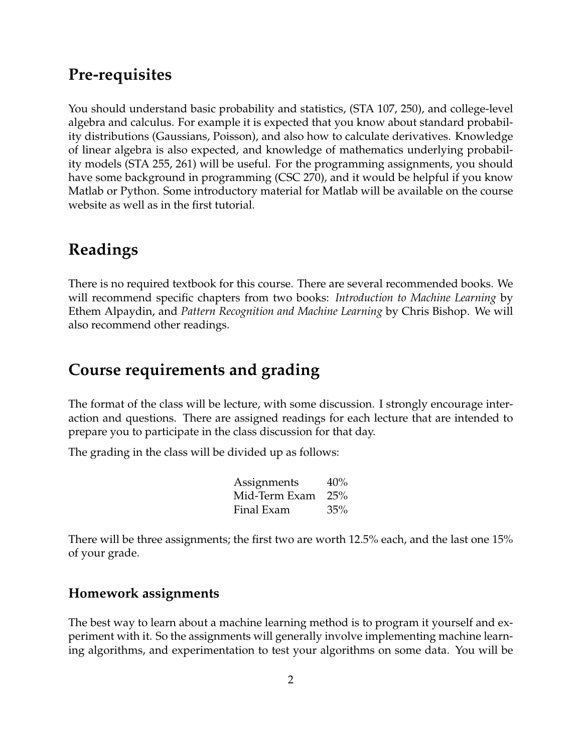### **Pre-requisites**

You should understand basic probability and statistics, (STA 107, 250), and college-level algebra and calculus. For example it is expected that you know about standard probability distributions (Gaussians, Poisson), and also how to calculate derivatives. Knowledge of linear algebra is also expected, and knowledge of mathematics underlying probability models (STA 255, 261) will be useful. For the programming assignments, you should have some background in programming (CSC 270), and it would be helpful if you know Matlab or Python. Some introductory material for Matlab will be available on the course website as well as in the first tutorial.

## **Readings**

There is no required textbook for this course. There are several recommended books. We will recommend specific chapters from two books: *Introduction to Machine Learning* by Ethem Alpaydin, and *Pattern Recognition and Machine Learning* by Chris Bishop. We will also recommend other readings.

## **Course requirements and grading**

The format of the class will be lecture, with some discussion. I strongly encourage interaction and questions. There are assigned readings for each lecture that are intended to prepare you to participate in the class discussion for that day.

The grading in the class will be divided up as follows:

| Assignments   | 40% |
|---------------|-----|
| Mid-Term Exam | 25% |
| Final Exam    | 35% |

There will be three assignments; the first two are worth 12.5% each, and the last one 15% of your grade.

#### **Homework assignments**

The best way to learn about a machine learning method is to program it yourself and experiment with it. So the assignments will generally involve implementing machine learning algorithms, and experimentation to test your algorithms on some data. You will be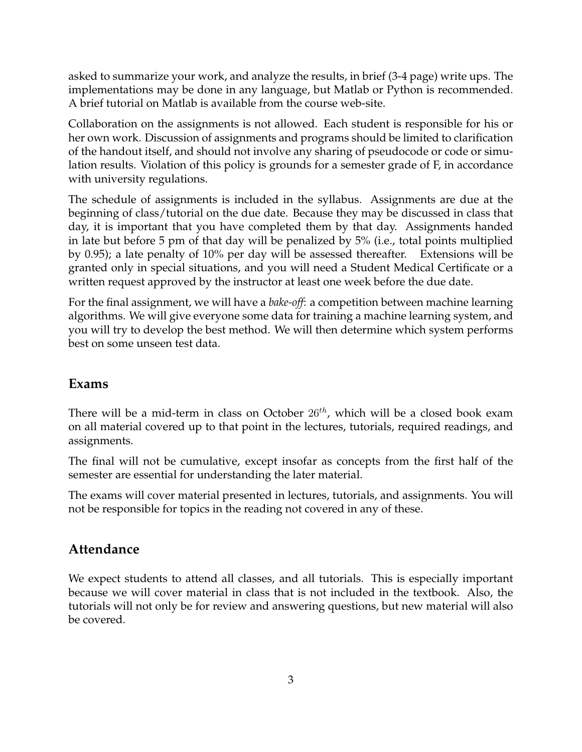asked to summarize your work, and analyze the results, in brief (3-4 page) write ups. The implementations may be done in any language, but Matlab or Python is recommended. A brief tutorial on Matlab is available from the course web-site.

Collaboration on the assignments is not allowed. Each student is responsible for his or her own work. Discussion of assignments and programs should be limited to clarification of the handout itself, and should not involve any sharing of pseudocode or code or simulation results. Violation of this policy is grounds for a semester grade of F, in accordance with university regulations.

The schedule of assignments is included in the syllabus. Assignments are due at the beginning of class/tutorial on the due date. Because they may be discussed in class that day, it is important that you have completed them by that day. Assignments handed in late but before 5 pm of that day will be penalized by 5% (i.e., total points multiplied by 0.95); a late penalty of 10% per day will be assessed thereafter. Extensions will be granted only in special situations, and you will need a Student Medical Certificate or a written request approved by the instructor at least one week before the due date.

For the final assignment, we will have a *bake-off*: a competition between machine learning algorithms. We will give everyone some data for training a machine learning system, and you will try to develop the best method. We will then determine which system performs best on some unseen test data.

#### **Exams**

There will be a mid-term in class on October  $26<sup>th</sup>$ , which will be a closed book exam on all material covered up to that point in the lectures, tutorials, required readings, and assignments.

The final will not be cumulative, except insofar as concepts from the first half of the semester are essential for understanding the later material.

The exams will cover material presented in lectures, tutorials, and assignments. You will not be responsible for topics in the reading not covered in any of these.

#### **Attendance**

We expect students to attend all classes, and all tutorials. This is especially important because we will cover material in class that is not included in the textbook. Also, the tutorials will not only be for review and answering questions, but new material will also be covered.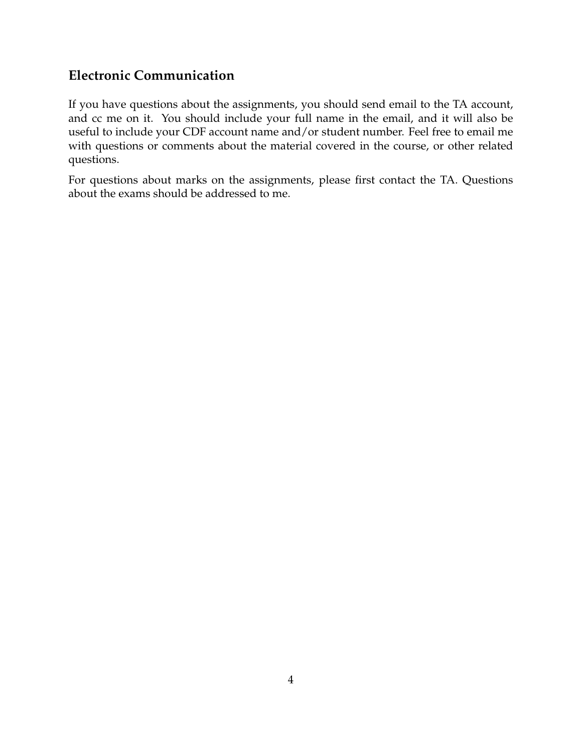### **Electronic Communication**

If you have questions about the assignments, you should send email to the TA account, and cc me on it. You should include your full name in the email, and it will also be useful to include your CDF account name and/or student number. Feel free to email me with questions or comments about the material covered in the course, or other related questions.

For questions about marks on the assignments, please first contact the TA. Questions about the exams should be addressed to me.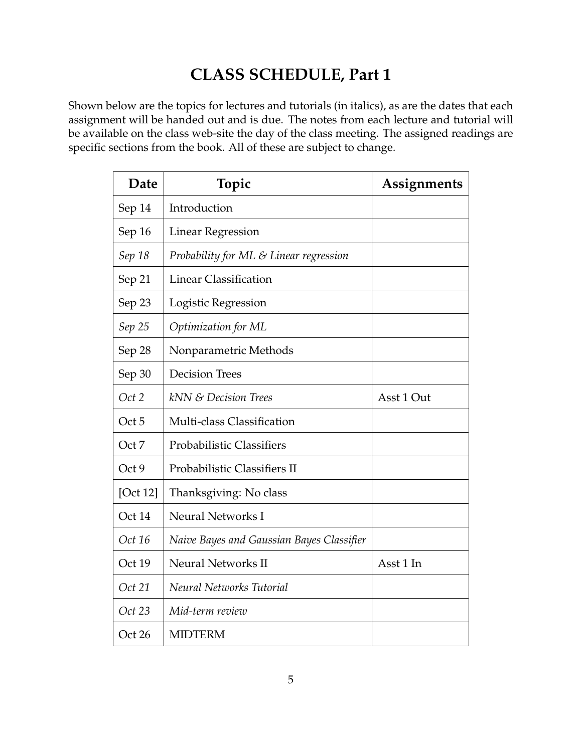## **CLASS SCHEDULE, Part 1**

Shown below are the topics for lectures and tutorials (in italics), as are the dates that each assignment will be handed out and is due. The notes from each lecture and tutorial will be available on the class web-site the day of the class meeting. The assigned readings are specific sections from the book. All of these are subject to change.

| Date     | Topic                                     | Assignments |
|----------|-------------------------------------------|-------------|
| Sep 14   | Introduction                              |             |
| Sep 16   | <b>Linear Regression</b>                  |             |
| Sep 18   | Probability for ML & Linear regression    |             |
| Sep 21   | <b>Linear Classification</b>              |             |
| Sep 23   | Logistic Regression                       |             |
| Sep 25   | Optimization for ML                       |             |
| Sep 28   | Nonparametric Methods                     |             |
| Sep 30   | <b>Decision Trees</b>                     |             |
| Oct 2    | kNN & Decision Trees                      | Asst 1 Out  |
| Oct 5    | Multi-class Classification                |             |
| Oct 7    | Probabilistic Classifiers                 |             |
| Oct 9    | Probabilistic Classifiers II              |             |
| [Oct 12] | Thanksgiving: No class                    |             |
| Oct 14   | Neural Networks I                         |             |
| Oct 16   | Naive Bayes and Gaussian Bayes Classifier |             |
| Oct 19   | <b>Neural Networks II</b>                 | Asst 1 In   |
| Oct 21   | Neural Networks Tutorial                  |             |
| Oct 23   | Mid-term review                           |             |
| Oct 26   | <b>MIDTERM</b>                            |             |